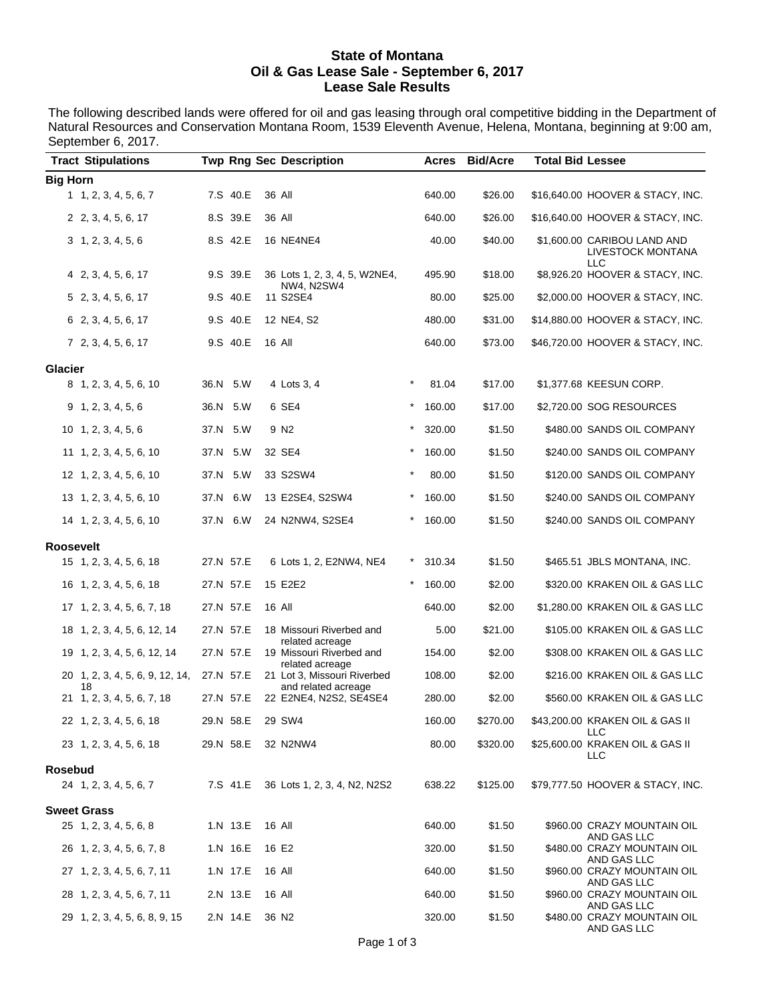#### **State of Montana Oil & Gas Lease Sale - September 6, 2017 Lease Sale Results**

The following described lands were offered for oil and gas leasing through oral competitive bidding in the Department of Natural Resources and Conservation Montana Room, 1539 Eleventh Avenue, Helena, Montana, beginning at 9:00 am, September 6, 2017.

| <b>Tract Stipulations</b>                |      |           | <b>Twp Rng Sec Description</b>                     |            | <b>Acres</b> | <b>Bid/Acre</b> | <b>Total Bid Lessee</b> |                                                                |
|------------------------------------------|------|-----------|----------------------------------------------------|------------|--------------|-----------------|-------------------------|----------------------------------------------------------------|
| <b>Big Horn</b>                          |      |           |                                                    |            |              |                 |                         |                                                                |
| 1, 2, 3, 4, 5, 6, 7                      |      | 7.S 40.E  | 36 All                                             |            | 640.00       | \$26.00         |                         | \$16,640.00 HOOVER & STACY, INC.                               |
| 2, 2, 3, 4, 5, 6, 17                     |      | 8.S 39.E  | 36 All                                             |            | 640.00       | \$26.00         |                         | \$16,640.00 HOOVER & STACY, INC.                               |
| 3, 1, 2, 3, 4, 5, 6                      |      | 8.S 42.E  | <b>16 NE4NE4</b>                                   |            | 40.00        | \$40.00         |                         | \$1,600.00 CARIBOU LAND AND<br>LIVESTOCK MONTANA<br><b>LLC</b> |
| 4, 2, 3, 4, 5, 6, 17                     |      | 9.S 39.E  | 36 Lots 1, 2, 3, 4, 5, W2NE4,<br><b>NW4, N2SW4</b> |            | 495.90       | \$18.00         |                         | \$8,926.20 HOOVER & STACY, INC.                                |
| 5 2, 3, 4, 5, 6, 17                      |      | 9.S 40.E  | 11 S2SE4                                           |            | 80.00        | \$25.00         |                         | \$2,000.00 HOOVER & STACY, INC.                                |
| 6 2, 3, 4, 5, 6, 17                      |      | 9.S 40.E  | 12 NE4, S2                                         |            | 480.00       | \$31.00         |                         | \$14,880.00 HOOVER & STACY, INC.                               |
| 7, 2, 3, 4, 5, 6, 17                     |      | 9.S 40.E  | 16 All                                             |            | 640.00       | \$73.00         |                         | \$46,720.00 HOOVER & STACY, INC.                               |
| <b>Glacier</b>                           |      |           |                                                    |            |              |                 |                         |                                                                |
| 8 1, 2, 3, 4, 5, 6, 10                   |      | 36.N 5.W  | 4 Lots 3, 4                                        | $\star$    | 81.04        | \$17.00         |                         | \$1,377.68 KEESUN CORP.                                        |
| 9, 1, 2, 3, 4, 5, 6                      |      | 36.N 5.W  | 6 SE4                                              | $^{\star}$ | 160.00       | \$17.00         |                         | \$2,720.00 SOG RESOURCES                                       |
| $10 \quad 1, 2, 3, 4, 5, 6$              |      | 37.N 5.W  | 9 N <sub>2</sub>                                   | $^\star$   | 320.00       | \$1.50          |                         | \$480.00 SANDS OIL COMPANY                                     |
| 11 1, 2, 3, 4, 5, 6, 10                  | 37.N | 5.W       | 32 SE4                                             | $\ast$     | 160.00       | \$1.50          |                         | \$240.00 SANDS OIL COMPANY                                     |
| 12 1, 2, 3, 4, 5, 6, 10                  |      | 37.N 5.W  | 33 S2SW4                                           | $\ast$     | 80.00        | \$1.50          |                         | \$120.00 SANDS OIL COMPANY                                     |
| 13 1, 2, 3, 4, 5, 6, 10                  | 37.N | 6.W       | 13 E2SE4, S2SW4                                    | $^{\star}$ | 160.00       | \$1.50          |                         | \$240.00 SANDS OIL COMPANY                                     |
| 14 1, 2, 3, 4, 5, 6, 10                  |      | 37.N 6.W  | 24 N2NW4, S2SE4                                    | $\star$    | 160.00       | \$1.50          |                         | \$240.00 SANDS OIL COMPANY                                     |
| <b>Roosevelt</b>                         |      |           |                                                    |            |              |                 |                         |                                                                |
| 15 1, 2, 3, 4, 5, 6, 18                  |      | 27.N 57.E | 6 Lots 1, 2, E2NW4, NE4                            |            | 310.34       | \$1.50          |                         | \$465.51 JBLS MONTANA, INC.                                    |
| 16 1, 2, 3, 4, 5, 6, 18                  |      | 27.N 57.E | 15 E2E2                                            |            | 160.00       | \$2.00          |                         | \$320.00 KRAKEN OIL & GAS LLC                                  |
| 17 1, 2, 3, 4, 5, 6, 7, 18               |      | 27.N 57.E | 16 All                                             |            | 640.00       | \$2.00          |                         | \$1,280.00 KRAKEN OIL & GAS LLC                                |
| 18 1, 2, 3, 4, 5, 6, 12, 14              |      | 27.N 57.E | 18 Missouri Riverbed and                           |            | 5.00         | \$21.00         |                         | \$105.00 KRAKEN OIL & GAS LLC                                  |
| 19 1, 2, 3, 4, 5, 6, 12, 14              |      | 27.N 57.E | related acreage<br>19 Missouri Riverbed and        |            | 154.00       | \$2.00          |                         | \$308.00 KRAKEN OIL & GAS LLC                                  |
| 20 1, 2, 3, 4, 5, 6, 9, 12, 14,          |      | 27.N 57.E | related acreage<br>21 Lot 3, Missouri Riverbed     |            | 108.00       | \$2.00          |                         | \$216.00 KRAKEN OIL & GAS LLC                                  |
| 18<br>21 1, 2, 3, 4, 5, 6, 7, 18         |      | 27.N 57.E | and related acreage<br>22 E2NE4, N2S2, SE4SE4      |            | 280.00       | \$2.00          |                         | \$560.00 KRAKEN OIL & GAS LLC                                  |
| 22 1, 2, 3, 4, 5, 6, 18                  |      | 29.N 58.E | 29 SW4                                             |            | 160.00       | \$270.00        |                         | \$43,200.00 KRAKEN OIL & GAS II                                |
| 23 1, 2, 3, 4, 5, 6, 18                  |      | 29.N 58.E | 32 N2NW4                                           |            | 80.00        | \$320.00        |                         | LLC<br>\$25,600.00 KRAKEN OIL & GAS II<br>LLC                  |
| <b>Rosebud</b><br>24 1, 2, 3, 4, 5, 6, 7 |      | 7.S 41.E  | 36 Lots 1, 2, 3, 4, N2, N2S2                       |            | 638.22       | \$125.00        |                         | \$79,777.50 HOOVER & STACY, INC.                               |
|                                          |      |           |                                                    |            |              |                 |                         |                                                                |
| <b>Sweet Grass</b>                       |      |           |                                                    |            |              |                 |                         |                                                                |
| 25 1, 2, 3, 4, 5, 6, 8                   |      | 1.N 13.E  | 16 All                                             |            | 640.00       | \$1.50          |                         | \$960.00 CRAZY MOUNTAIN OIL<br>AND GAS LLC                     |
| 26 1, 2, 3, 4, 5, 6, 7, 8                |      | 1.N 16.E  | 16 E2                                              |            | 320.00       | \$1.50          |                         | \$480.00 CRAZY MOUNTAIN OIL<br>AND GAS LLC                     |
| 27 1, 2, 3, 4, 5, 6, 7, 11               |      | 1.N 17.E  | 16 All                                             |            | 640.00       | \$1.50          |                         | \$960.00 CRAZY MOUNTAIN OIL<br>AND GAS LLC                     |
| 28 1, 2, 3, 4, 5, 6, 7, 11               |      | 2.N 13.E  | 16 All                                             |            | 640.00       | \$1.50          |                         | \$960.00 CRAZY MOUNTAIN OIL<br>AND GAS LLC                     |
| 29 1, 2, 3, 4, 5, 6, 8, 9, 15            |      | 2.N 14.E  | 36 N <sub>2</sub>                                  |            | 320.00       | \$1.50          |                         | \$480.00 CRAZY MOUNTAIN OIL<br>AND GAS LLC                     |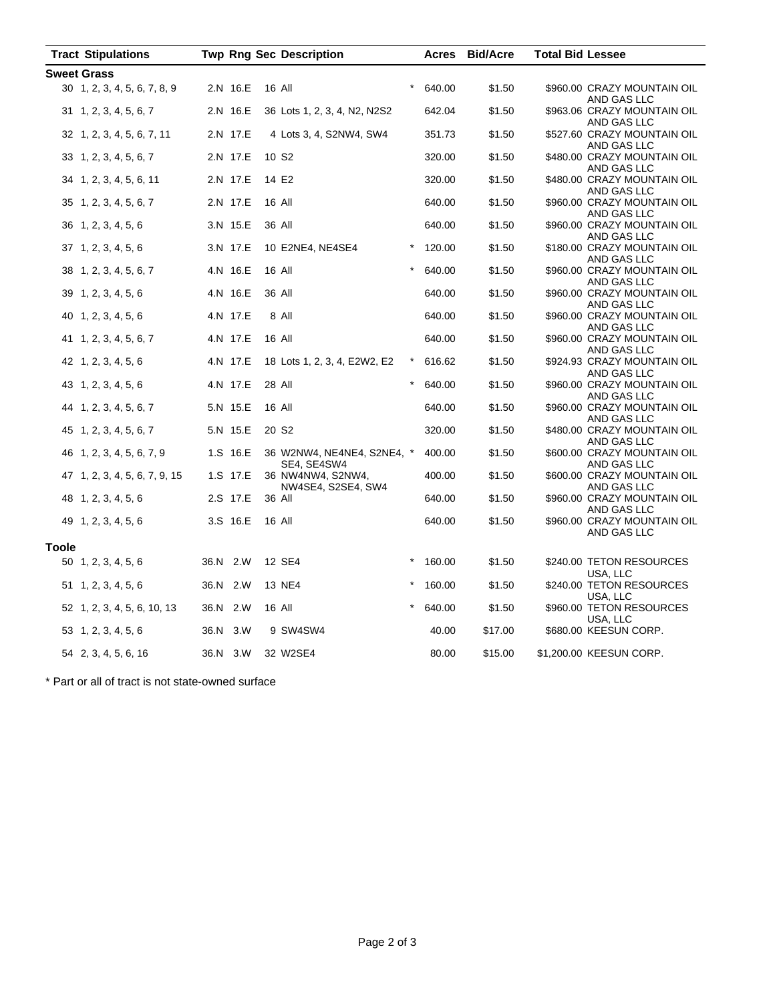| <b>Sweet Grass</b><br>2.N 16.E<br>\$1.50<br>30 1, 2, 3, 4, 5, 6, 7, 8, 9<br>16 All<br>640.00<br>\$960.00 CRAZY MOUNTAIN OIL<br>AND GAS LLC<br>2.N 16.E<br>642.04<br>\$1.50<br>\$963.06 CRAZY MOUNTAIN OIL<br>$31 \quad 1, 2, 3, 4, 5, 6, 7$<br>36 Lots 1, 2, 3, 4, N2, N2S2<br>AND GAS LLC<br>2.N 17.E<br>4 Lots 3, 4, S2NW4, SW4<br>351.73<br>\$1.50<br>\$527.60 CRAZY MOUNTAIN OIL<br>32 1, 2, 3, 4, 5, 6, 7, 11<br>AND GAS LLC<br>2.N 17.E<br>10 S <sub>2</sub><br>320.00<br>\$1.50<br>\$480.00 CRAZY MOUNTAIN OIL<br>33 1, 2, 3, 4, 5, 6, 7<br>AND GAS LLC<br>2.N 17.E<br>14 E2<br>320.00<br>\$1.50<br>\$480.00 CRAZY MOUNTAIN OIL<br>34 1, 2, 3, 4, 5, 6, 11<br>AND GAS LLC<br>2.N 17.E<br>16 All<br>640.00<br>\$1.50<br>\$960.00 CRAZY MOUNTAIN OIL<br>35 1, 2, 3, 4, 5, 6, 7<br>AND GAS LLC<br>3.N 15.E<br>36 All<br>\$1.50<br>\$960.00 CRAZY MOUNTAIN OIL<br>36 1, 2, 3, 4, 5, 6<br>640.00<br>AND GAS LLC<br>3.N 17.E<br>10 E2NE4, NE4SE4<br>$\star$<br>\$1.50<br>$37 \quad 1, 2, 3, 4, 5, 6$<br>120.00<br>\$180.00 CRAZY MOUNTAIN OIL<br>AND GAS LLC<br>4.N 16.E<br>16 All<br>\$1.50<br>\$960.00 CRAZY MOUNTAIN OIL<br>38 1, 2, 3, 4, 5, 6, 7<br>640.00 | <b>Tract Stipulations</b> | <b>Twp Rng Sec Description</b> | Acres | <b>Bid/Acre</b> | <b>Total Bid Lessee</b> |
|------------------------------------------------------------------------------------------------------------------------------------------------------------------------------------------------------------------------------------------------------------------------------------------------------------------------------------------------------------------------------------------------------------------------------------------------------------------------------------------------------------------------------------------------------------------------------------------------------------------------------------------------------------------------------------------------------------------------------------------------------------------------------------------------------------------------------------------------------------------------------------------------------------------------------------------------------------------------------------------------------------------------------------------------------------------------------------------------------------------------------------------------------------------|---------------------------|--------------------------------|-------|-----------------|-------------------------|
|                                                                                                                                                                                                                                                                                                                                                                                                                                                                                                                                                                                                                                                                                                                                                                                                                                                                                                                                                                                                                                                                                                                                                                  |                           |                                |       |                 |                         |
|                                                                                                                                                                                                                                                                                                                                                                                                                                                                                                                                                                                                                                                                                                                                                                                                                                                                                                                                                                                                                                                                                                                                                                  |                           |                                |       |                 |                         |
|                                                                                                                                                                                                                                                                                                                                                                                                                                                                                                                                                                                                                                                                                                                                                                                                                                                                                                                                                                                                                                                                                                                                                                  |                           |                                |       |                 |                         |
|                                                                                                                                                                                                                                                                                                                                                                                                                                                                                                                                                                                                                                                                                                                                                                                                                                                                                                                                                                                                                                                                                                                                                                  |                           |                                |       |                 |                         |
|                                                                                                                                                                                                                                                                                                                                                                                                                                                                                                                                                                                                                                                                                                                                                                                                                                                                                                                                                                                                                                                                                                                                                                  |                           |                                |       |                 |                         |
|                                                                                                                                                                                                                                                                                                                                                                                                                                                                                                                                                                                                                                                                                                                                                                                                                                                                                                                                                                                                                                                                                                                                                                  |                           |                                |       |                 |                         |
|                                                                                                                                                                                                                                                                                                                                                                                                                                                                                                                                                                                                                                                                                                                                                                                                                                                                                                                                                                                                                                                                                                                                                                  |                           |                                |       |                 |                         |
|                                                                                                                                                                                                                                                                                                                                                                                                                                                                                                                                                                                                                                                                                                                                                                                                                                                                                                                                                                                                                                                                                                                                                                  |                           |                                |       |                 |                         |
|                                                                                                                                                                                                                                                                                                                                                                                                                                                                                                                                                                                                                                                                                                                                                                                                                                                                                                                                                                                                                                                                                                                                                                  |                           |                                |       |                 |                         |
|                                                                                                                                                                                                                                                                                                                                                                                                                                                                                                                                                                                                                                                                                                                                                                                                                                                                                                                                                                                                                                                                                                                                                                  |                           |                                |       |                 |                         |
|                                                                                                                                                                                                                                                                                                                                                                                                                                                                                                                                                                                                                                                                                                                                                                                                                                                                                                                                                                                                                                                                                                                                                                  |                           |                                |       |                 |                         |
|                                                                                                                                                                                                                                                                                                                                                                                                                                                                                                                                                                                                                                                                                                                                                                                                                                                                                                                                                                                                                                                                                                                                                                  |                           |                                |       |                 |                         |
|                                                                                                                                                                                                                                                                                                                                                                                                                                                                                                                                                                                                                                                                                                                                                                                                                                                                                                                                                                                                                                                                                                                                                                  |                           |                                |       |                 |                         |
|                                                                                                                                                                                                                                                                                                                                                                                                                                                                                                                                                                                                                                                                                                                                                                                                                                                                                                                                                                                                                                                                                                                                                                  |                           |                                |       |                 |                         |
|                                                                                                                                                                                                                                                                                                                                                                                                                                                                                                                                                                                                                                                                                                                                                                                                                                                                                                                                                                                                                                                                                                                                                                  |                           |                                |       |                 |                         |
|                                                                                                                                                                                                                                                                                                                                                                                                                                                                                                                                                                                                                                                                                                                                                                                                                                                                                                                                                                                                                                                                                                                                                                  |                           |                                |       |                 |                         |
|                                                                                                                                                                                                                                                                                                                                                                                                                                                                                                                                                                                                                                                                                                                                                                                                                                                                                                                                                                                                                                                                                                                                                                  |                           |                                |       |                 | AND GAS LLC             |
| 4.N 16.E<br>\$1.50<br>$39$ 1, 2, 3, 4, 5, 6<br>36 All<br>640.00<br>\$960.00 CRAZY MOUNTAIN OIL<br>AND GAS LLC                                                                                                                                                                                                                                                                                                                                                                                                                                                                                                                                                                                                                                                                                                                                                                                                                                                                                                                                                                                                                                                    |                           |                                |       |                 |                         |
| 4.N 17.E<br>8 All<br>40 1, 2, 3, 4, 5, 6<br>640.00<br>\$1.50<br>\$960.00 CRAZY MOUNTAIN OIL                                                                                                                                                                                                                                                                                                                                                                                                                                                                                                                                                                                                                                                                                                                                                                                                                                                                                                                                                                                                                                                                      |                           |                                |       |                 |                         |
| AND GAS LLC                                                                                                                                                                                                                                                                                                                                                                                                                                                                                                                                                                                                                                                                                                                                                                                                                                                                                                                                                                                                                                                                                                                                                      |                           |                                |       |                 |                         |
| 4.N 17.E<br>\$1.50<br>16 All<br>640.00<br>\$960.00 CRAZY MOUNTAIN OIL<br>41 1, 2, 3, 4, 5, 6, 7                                                                                                                                                                                                                                                                                                                                                                                                                                                                                                                                                                                                                                                                                                                                                                                                                                                                                                                                                                                                                                                                  |                           |                                |       |                 |                         |
| AND GAS LLC                                                                                                                                                                                                                                                                                                                                                                                                                                                                                                                                                                                                                                                                                                                                                                                                                                                                                                                                                                                                                                                                                                                                                      |                           |                                |       |                 |                         |
| 4.N 17.E<br>\$1.50<br>\$924.93 CRAZY MOUNTAIN OIL<br>$42 \quad 1, 2, 3, 4, 5, 6$<br>18 Lots 1, 2, 3, 4, E2W2, E2<br>$\star$<br>616.62<br>AND GAS LLC                                                                                                                                                                                                                                                                                                                                                                                                                                                                                                                                                                                                                                                                                                                                                                                                                                                                                                                                                                                                             |                           |                                |       |                 |                         |
| 4.N 17.E<br>43 1, 2, 3, 4, 5, 6<br>28 All<br>640.00<br>\$1.50<br>\$960.00 CRAZY MOUNTAIN OIL                                                                                                                                                                                                                                                                                                                                                                                                                                                                                                                                                                                                                                                                                                                                                                                                                                                                                                                                                                                                                                                                     |                           |                                |       |                 |                         |
| AND GAS LLC                                                                                                                                                                                                                                                                                                                                                                                                                                                                                                                                                                                                                                                                                                                                                                                                                                                                                                                                                                                                                                                                                                                                                      |                           |                                |       |                 |                         |
| 5.N 15.E<br>16 All<br>\$1.50<br>44 1, 2, 3, 4, 5, 6, 7<br>640.00<br>\$960.00 CRAZY MOUNTAIN OIL                                                                                                                                                                                                                                                                                                                                                                                                                                                                                                                                                                                                                                                                                                                                                                                                                                                                                                                                                                                                                                                                  |                           |                                |       |                 |                         |
| AND GAS LLC<br>5.N 15.E<br>20 S <sub>2</sub><br>\$1.50<br>320.00<br>\$480.00 CRAZY MOUNTAIN OIL                                                                                                                                                                                                                                                                                                                                                                                                                                                                                                                                                                                                                                                                                                                                                                                                                                                                                                                                                                                                                                                                  |                           |                                |       |                 |                         |
| 45 1, 2, 3, 4, 5, 6, 7<br>AND GAS LLC                                                                                                                                                                                                                                                                                                                                                                                                                                                                                                                                                                                                                                                                                                                                                                                                                                                                                                                                                                                                                                                                                                                            |                           |                                |       |                 |                         |
| 1.S 16.E<br>\$1.50<br>\$600.00 CRAZY MOUNTAIN OIL<br>46 1, 2, 3, 4, 5, 6, 7, 9<br>36 W2NW4, NE4NE4, S2NE4, *<br>400.00                                                                                                                                                                                                                                                                                                                                                                                                                                                                                                                                                                                                                                                                                                                                                                                                                                                                                                                                                                                                                                           |                           |                                |       |                 |                         |
| SE4, SE4SW4<br>AND GAS LLC                                                                                                                                                                                                                                                                                                                                                                                                                                                                                                                                                                                                                                                                                                                                                                                                                                                                                                                                                                                                                                                                                                                                       |                           |                                |       |                 |                         |
| 1.S 17.E<br>47 1, 2, 3, 4, 5, 6, 7, 9, 15<br>36 NW4NW4, S2NW4,<br>400.00<br>\$1.50<br>\$600.00 CRAZY MOUNTAIN OIL                                                                                                                                                                                                                                                                                                                                                                                                                                                                                                                                                                                                                                                                                                                                                                                                                                                                                                                                                                                                                                                |                           |                                |       |                 |                         |
| NW4SE4, S2SE4, SW4<br>AND GAS LLC<br>2.S 17.E<br>48 1, 2, 3, 4, 5, 6<br>36 All<br>640.00<br>\$1.50<br>\$960.00 CRAZY MOUNTAIN OIL                                                                                                                                                                                                                                                                                                                                                                                                                                                                                                                                                                                                                                                                                                                                                                                                                                                                                                                                                                                                                                |                           |                                |       |                 |                         |
| AND GAS LLC                                                                                                                                                                                                                                                                                                                                                                                                                                                                                                                                                                                                                                                                                                                                                                                                                                                                                                                                                                                                                                                                                                                                                      |                           |                                |       |                 |                         |
| 3.S 16.E<br>16 All<br>\$1.50<br>49 1, 2, 3, 4, 5, 6<br>640.00<br>\$960.00 CRAZY MOUNTAIN OIL                                                                                                                                                                                                                                                                                                                                                                                                                                                                                                                                                                                                                                                                                                                                                                                                                                                                                                                                                                                                                                                                     |                           |                                |       |                 |                         |
| AND GAS LLC                                                                                                                                                                                                                                                                                                                                                                                                                                                                                                                                                                                                                                                                                                                                                                                                                                                                                                                                                                                                                                                                                                                                                      |                           |                                |       |                 |                         |
| <b>Toole</b>                                                                                                                                                                                                                                                                                                                                                                                                                                                                                                                                                                                                                                                                                                                                                                                                                                                                                                                                                                                                                                                                                                                                                     |                           |                                |       |                 |                         |
| 36.N 2.W<br>12 SE4<br>$\ast$<br>50 1, 2, 3, 4, 5, 6<br>160.00<br>\$1.50<br>\$240.00 TETON RESOURCES                                                                                                                                                                                                                                                                                                                                                                                                                                                                                                                                                                                                                                                                                                                                                                                                                                                                                                                                                                                                                                                              |                           |                                |       |                 |                         |
| USA, LLC                                                                                                                                                                                                                                                                                                                                                                                                                                                                                                                                                                                                                                                                                                                                                                                                                                                                                                                                                                                                                                                                                                                                                         |                           |                                |       |                 |                         |
| $51 \quad 1, 2, 3, 4, 5, 6$<br>36.N 2.W<br>13 NE4<br>160.00<br>\$1.50<br>\$240.00 TETON RESOURCES<br>USA, LLC                                                                                                                                                                                                                                                                                                                                                                                                                                                                                                                                                                                                                                                                                                                                                                                                                                                                                                                                                                                                                                                    |                           |                                |       |                 |                         |
| 36.N 2.W<br>16 All<br>640.00<br>\$1.50<br>\$960.00 TETON RESOURCES<br>52 1, 2, 3, 4, 5, 6, 10, 13                                                                                                                                                                                                                                                                                                                                                                                                                                                                                                                                                                                                                                                                                                                                                                                                                                                                                                                                                                                                                                                                |                           |                                |       |                 |                         |
| USA, LLC                                                                                                                                                                                                                                                                                                                                                                                                                                                                                                                                                                                                                                                                                                                                                                                                                                                                                                                                                                                                                                                                                                                                                         |                           |                                |       |                 |                         |
| 36.N 3.W<br>9 SW4SW4<br>\$17.00<br>\$680.00 KEESUN CORP.<br>53 1, 2, 3, 4, 5, 6<br>40.00                                                                                                                                                                                                                                                                                                                                                                                                                                                                                                                                                                                                                                                                                                                                                                                                                                                                                                                                                                                                                                                                         |                           |                                |       |                 |                         |
| 36.N 3.W<br>32 W2SE4<br>\$15.00<br>\$1,200.00 KEESUN CORP.<br>54 2, 3, 4, 5, 6, 16<br>80.00                                                                                                                                                                                                                                                                                                                                                                                                                                                                                                                                                                                                                                                                                                                                                                                                                                                                                                                                                                                                                                                                      |                           |                                |       |                 |                         |

\* Part or all of tract is not state-owned surface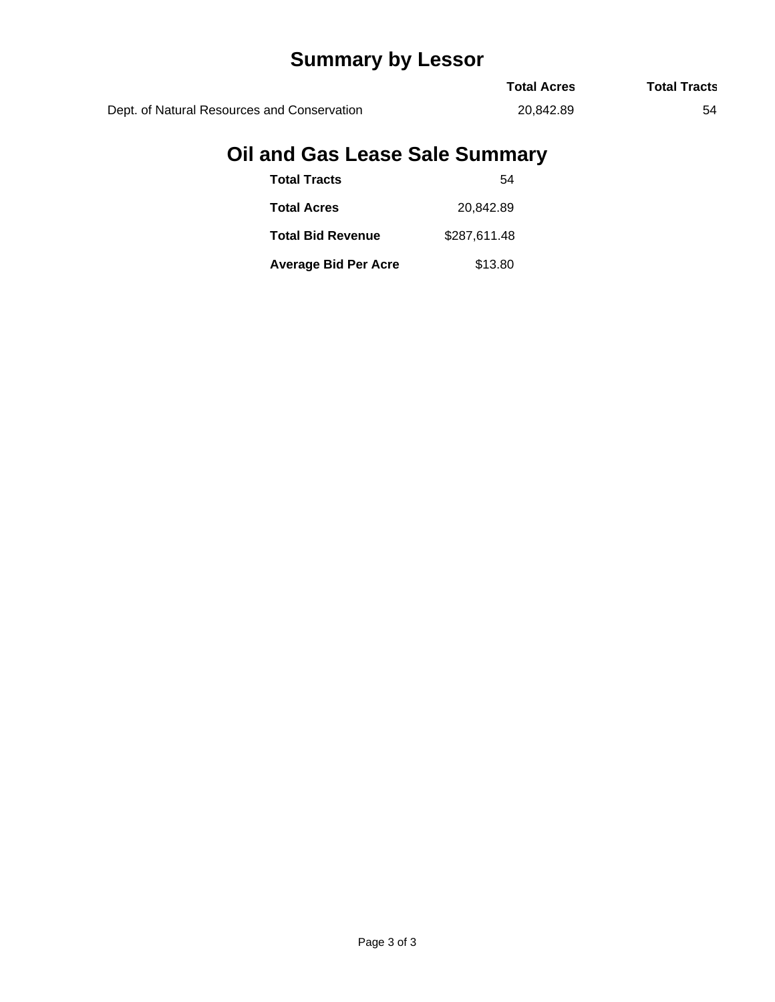# **Summary by Lessor**

|                                             | <b>Total Acres</b> | <b>Total Tracts</b> |
|---------------------------------------------|--------------------|---------------------|
| Dept. of Natural Resources and Conservation | 20.842.89          | 54                  |

## **Oil and Gas Lease Sale Summary**

| <b>Total Tracts</b>         | 54           |
|-----------------------------|--------------|
| <b>Total Acres</b>          | 20.842.89    |
| <b>Total Bid Revenue</b>    | \$287.611.48 |
| <b>Average Bid Per Acre</b> | \$13.80      |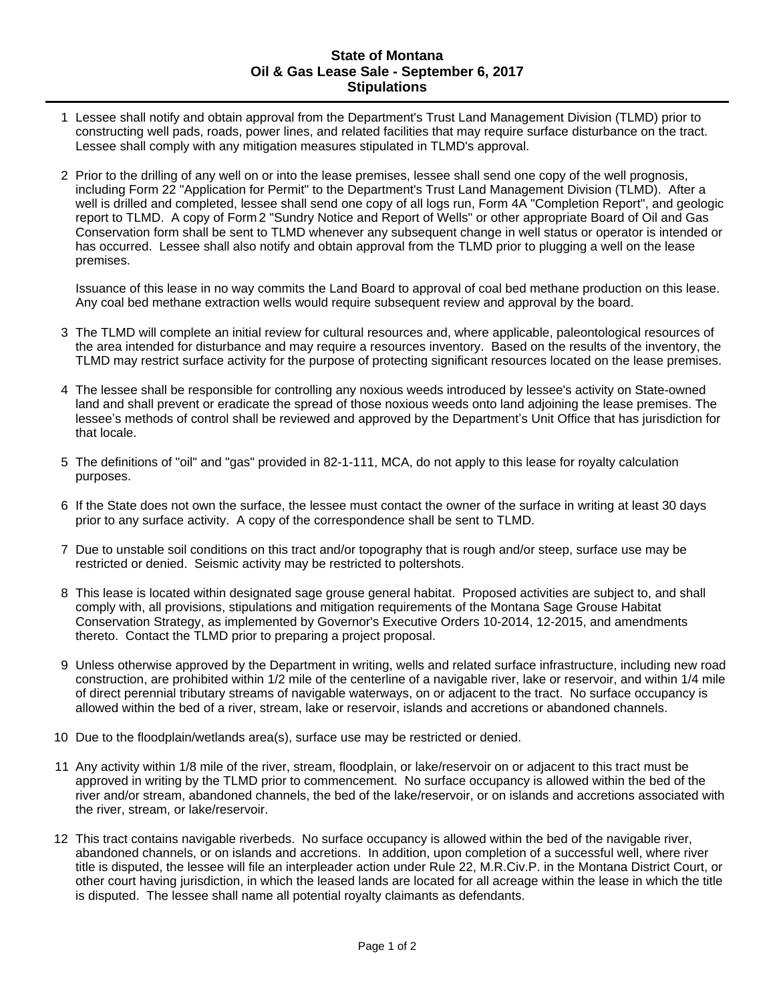#### **State of Montana Oil & Gas Lease Sale - September 6, 2017 Stipulations**

- 1 Lessee shall notify and obtain approval from the Department's Trust Land Management Division (TLMD) prior to constructing well pads, roads, power lines, and related facilities that may require surface disturbance on the tract. Lessee shall comply with any mitigation measures stipulated in TLMD's approval.
- 2 Prior to the drilling of any well on or into the lease premises, lessee shall send one copy of the well prognosis, including Form 22 "Application for Permit" to the Department's Trust Land Management Division (TLMD). After a well is drilled and completed, lessee shall send one copy of all logs run, Form 4A "Completion Report", and geologic report to TLMD. A copy of Form 2 "Sundry Notice and Report of Wells" or other appropriate Board of Oil and Gas Conservation form shall be sent to TLMD whenever any subsequent change in well status or operator is intended or has occurred. Lessee shall also notify and obtain approval from the TLMD prior to plugging a well on the lease premises.

Issuance of this lease in no way commits the Land Board to approval of coal bed methane production on this lease. Any coal bed methane extraction wells would require subsequent review and approval by the board.

- 3 The TLMD will complete an initial review for cultural resources and, where applicable, paleontological resources of the area intended for disturbance and may require a resources inventory. Based on the results of the inventory, the TLMD may restrict surface activity for the purpose of protecting significant resources located on the lease premises.
- 4 The lessee shall be responsible for controlling any noxious weeds introduced by lessee's activity on State-owned land and shall prevent or eradicate the spread of those noxious weeds onto land adjoining the lease premises. The lessee's methods of control shall be reviewed and approved by the Department's Unit Office that has jurisdiction for that locale.
- 5 The definitions of "oil" and "gas" provided in 82-1-111, MCA, do not apply to this lease for royalty calculation purposes.
- 6 If the State does not own the surface, the lessee must contact the owner of the surface in writing at least 30 days prior to any surface activity. A copy of the correspondence shall be sent to TLMD.
- 7 Due to unstable soil conditions on this tract and/or topography that is rough and/or steep, surface use may be restricted or denied. Seismic activity may be restricted to poltershots.
- 8 This lease is located within designated sage grouse general habitat. Proposed activities are subject to, and shall comply with, all provisions, stipulations and mitigation requirements of the Montana Sage Grouse Habitat Conservation Strategy, as implemented by Governor's Executive Orders 10-2014, 12-2015, and amendments thereto. Contact the TLMD prior to preparing a project proposal.
- 9 Unless otherwise approved by the Department in writing, wells and related surface infrastructure, including new road construction, are prohibited within 1/2 mile of the centerline of a navigable river, lake or reservoir, and within 1/4 mile of direct perennial tributary streams of navigable waterways, on or adjacent to the tract. No surface occupancy is allowed within the bed of a river, stream, lake or reservoir, islands and accretions or abandoned channels.
- 10 Due to the floodplain/wetlands area(s), surface use may be restricted or denied.
- 11 Any activity within 1/8 mile of the river, stream, floodplain, or lake/reservoir on or adjacent to this tract must be approved in writing by the TLMD prior to commencement. No surface occupancy is allowed within the bed of the river and/or stream, abandoned channels, the bed of the lake/reservoir, or on islands and accretions associated with the river, stream, or lake/reservoir.
- 12 This tract contains navigable riverbeds. No surface occupancy is allowed within the bed of the navigable river, abandoned channels, or on islands and accretions. In addition, upon completion of a successful well, where river title is disputed, the lessee will file an interpleader action under Rule 22, M.R.Civ.P. in the Montana District Court, or other court having jurisdiction, in which the leased lands are located for all acreage within the lease in which the title is disputed. The lessee shall name all potential royalty claimants as defendants.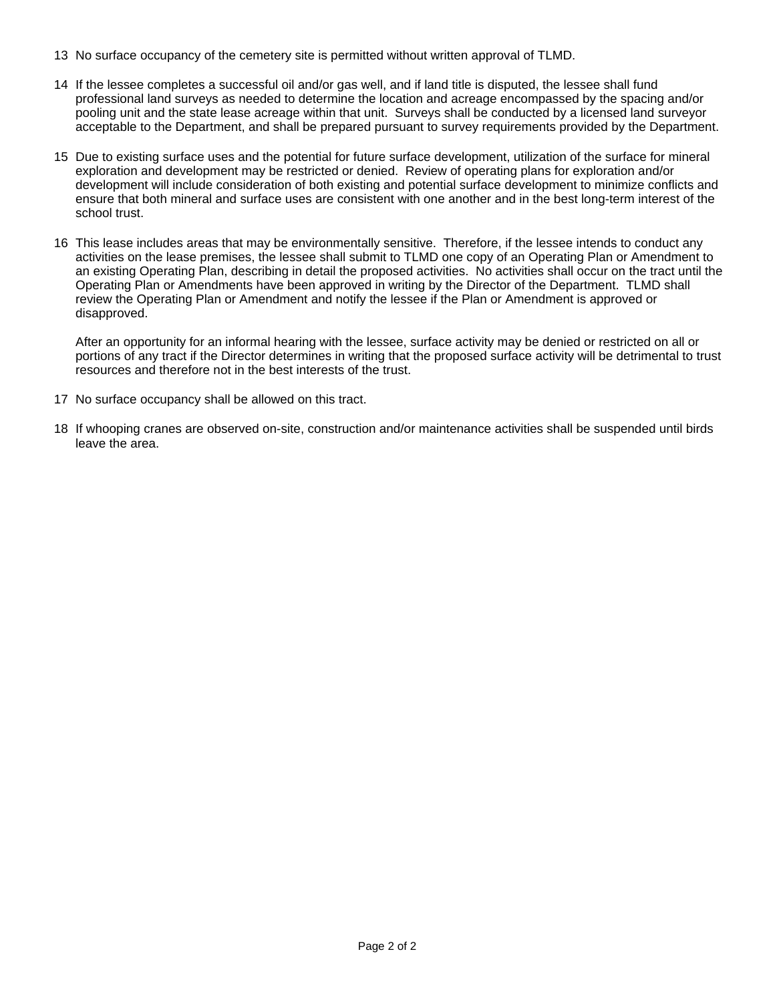- 13 No surface occupancy of the cemetery site is permitted without written approval of TLMD.
- 14 If the lessee completes a successful oil and/or gas well, and if land title is disputed, the lessee shall fund professional land surveys as needed to determine the location and acreage encompassed by the spacing and/or pooling unit and the state lease acreage within that unit. Surveys shall be conducted by a licensed land surveyor acceptable to the Department, and shall be prepared pursuant to survey requirements provided by the Department.
- 15 Due to existing surface uses and the potential for future surface development, utilization of the surface for mineral exploration and development may be restricted or denied. Review of operating plans for exploration and/or development will include consideration of both existing and potential surface development to minimize conflicts and ensure that both mineral and surface uses are consistent with one another and in the best long-term interest of the school trust.
- 16 This lease includes areas that may be environmentally sensitive. Therefore, if the lessee intends to conduct any activities on the lease premises, the lessee shall submit to TLMD one copy of an Operating Plan or Amendment to an existing Operating Plan, describing in detail the proposed activities. No activities shall occur on the tract until the Operating Plan or Amendments have been approved in writing by the Director of the Department. TLMD shall review the Operating Plan or Amendment and notify the lessee if the Plan or Amendment is approved or disapproved.

After an opportunity for an informal hearing with the lessee, surface activity may be denied or restricted on all or portions of any tract if the Director determines in writing that the proposed surface activity will be detrimental to trust resources and therefore not in the best interests of the trust.

- 17 No surface occupancy shall be allowed on this tract.
- 18 If whooping cranes are observed on-site, construction and/or maintenance activities shall be suspended until birds leave the area.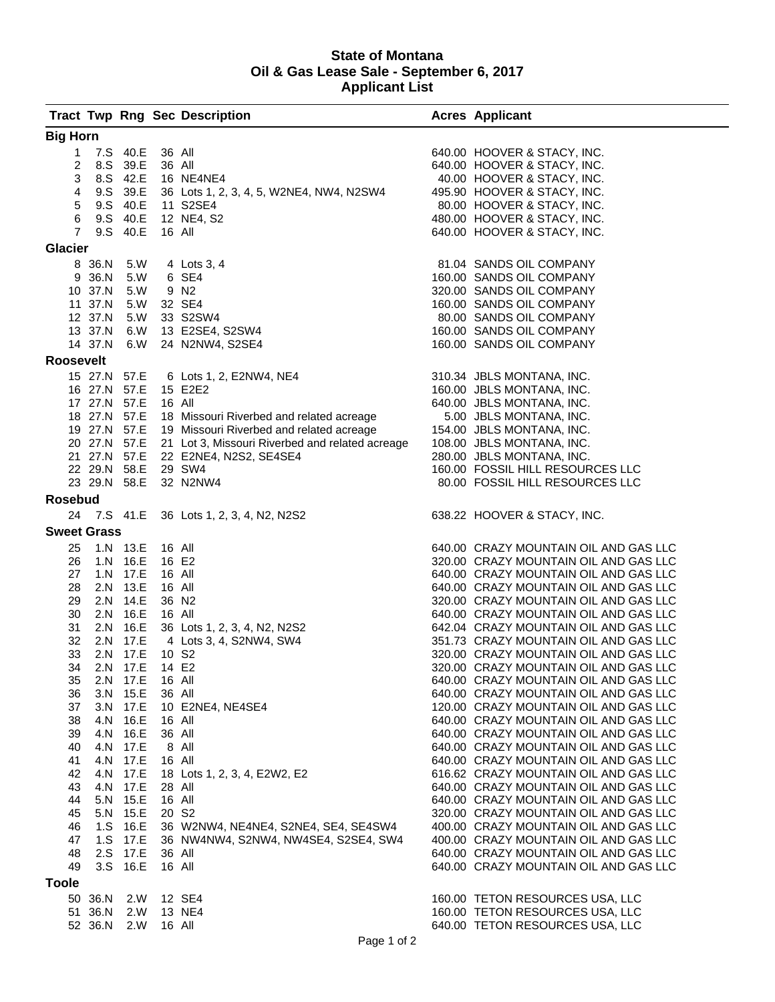#### **State of Montana Oil & Gas Lease Sale - September 6, 2017 Applicant List**

|                    |                              |                      |                   | <b>Tract Twp Rng Sec Description</b>                         | <b>Acres Applicant</b>                                                         |
|--------------------|------------------------------|----------------------|-------------------|--------------------------------------------------------------|--------------------------------------------------------------------------------|
| <b>Big Horn</b>    |                              |                      |                   |                                                              |                                                                                |
| $\mathbf{1}$       |                              | 7.S 40.E             | 36 All            |                                                              | 640.00 HOOVER & STACY, INC.                                                    |
| 2                  |                              | 8.S 39.E             | 36 All            |                                                              | 640.00 HOOVER & STACY, INC.                                                    |
| 3                  |                              | 8.S 42.E             |                   | 16 NE4NE4                                                    | 40.00 HOOVER & STACY, INC.                                                     |
| 4                  |                              | 9.S 39.E             |                   | 36 Lots 1, 2, 3, 4, 5, W2NE4, NW4, N2SW4                     | 495.90 HOOVER & STACY, INC.                                                    |
| 5                  |                              | 9.S 40.E             |                   | 11 S2SE4                                                     | 80.00 HOOVER & STACY, INC.                                                     |
| 6                  |                              | 9.S 40.E             |                   | 12 NE4, S2                                                   | 480.00 HOOVER & STACY, INC.                                                    |
| $\overline{7}$     |                              | 9.S 40.E             | 16 All            |                                                              | 640.00 HOOVER & STACY, INC.                                                    |
| <b>Glacier</b>     |                              |                      |                   |                                                              |                                                                                |
|                    | 8 36.N 5.W                   |                      |                   | 4 Lots 3, 4                                                  | 81.04 SANDS OIL COMPANY                                                        |
|                    | 9 36.N                       | 5.W                  |                   | 6 SE4                                                        | 160.00 SANDS OIL COMPANY                                                       |
|                    | 10 37.N                      | 5.W                  |                   | 9 N <sub>2</sub>                                             | 320.00 SANDS OIL COMPANY                                                       |
|                    | 11 37.N                      | 5.W                  |                   | 32 SE4                                                       | 160.00 SANDS OIL COMPANY                                                       |
|                    | 12 37.N                      | 5.W                  |                   | 33 S2SW4                                                     | 80.00 SANDS OIL COMPANY                                                        |
|                    | 13 37.N<br>14 37.N           | 6.W<br>6.W           |                   | 13 E2SE4, S2SW4<br>24 N2NW4, S2SE4                           | 160.00 SANDS OIL COMPANY                                                       |
|                    |                              |                      |                   |                                                              | 160.00 SANDS OIL COMPANY                                                       |
| <b>Roosevelt</b>   |                              |                      |                   |                                                              |                                                                                |
|                    | 15 27.N 57.E                 |                      |                   | 6 Lots 1, 2, E2NW4, NE4                                      | 310.34 JBLS MONTANA, INC.                                                      |
|                    | 16 27.N 57.E<br>17 27.N 57.E |                      | 16 All            | 15 E2E2                                                      | 160.00 JBLS MONTANA, INC.<br>640.00 JBLS MONTANA, INC.                         |
|                    |                              |                      |                   | 18 27.N 57.E 18 Missouri Riverbed and related acreage        | 5.00 JBLS MONTANA, INC.                                                        |
|                    |                              |                      |                   | 19 27.N 57.E 19 Missouri Riverbed and related acreage        | 154.00 JBLS MONTANA, INC.                                                      |
|                    |                              |                      |                   | 20 27.N 57.E 21 Lot 3, Missouri Riverbed and related acreage | 108.00 JBLS MONTANA, INC.                                                      |
|                    | 21 27.N 57.E                 |                      |                   | 22 E2NE4, N2S2, SE4SE4                                       | 280.00 JBLS MONTANA, INC.                                                      |
|                    | 22 29.N 58.E                 |                      |                   | 29 SW4                                                       | 160.00 FOSSIL HILL RESOURCES LLC                                               |
|                    | 23 29.N 58.E                 |                      |                   | 32 N2NW4                                                     | 80.00 FOSSIL HILL RESOURCES LLC                                                |
| <b>Rosebud</b>     |                              |                      |                   |                                                              |                                                                                |
|                    | 24 7.S 41.E                  |                      |                   | 36 Lots 1, 2, 3, 4, N2, N2S2                                 | 638.22 HOOVER & STACY, INC.                                                    |
| <b>Sweet Grass</b> |                              |                      |                   |                                                              |                                                                                |
| 25                 |                              | 1.N 13.E             | 16 All            |                                                              | 640.00 CRAZY MOUNTAIN OIL AND GAS LLC                                          |
| 26                 |                              | 1.N 16.E             | 16 E2             |                                                              | 320.00 CRAZY MOUNTAIN OIL AND GAS LLC                                          |
| 27                 |                              | 1.N 17.E             | 16 All            |                                                              | 640.00 CRAZY MOUNTAIN OIL AND GAS LLC                                          |
| 28                 |                              | 2.N 13.E             | 16 All            |                                                              | 640.00 CRAZY MOUNTAIN OIL AND GAS LLC                                          |
| 29                 |                              | 2.N 14.E             | 36 N <sub>2</sub> |                                                              | 320.00 CRAZY MOUNTAIN OIL AND GAS LLC                                          |
| 30                 |                              | 2.N 16.E             | 16 All            |                                                              | 640.00 CRAZY MOUNTAIN OIL AND GAS LLC                                          |
| 31                 |                              | 2.N 16.E             |                   | 36 Lots 1, 2, 3, 4, N2, N2S2                                 | 642.04 CRAZY MOUNTAIN OIL AND GAS LLC                                          |
| 32                 |                              | 2.N 17.E             |                   | 4 Lots 3, 4, S2NW4, SW4                                      | 351.73 CRAZY MOUNTAIN OIL AND GAS LLC                                          |
| 33                 |                              | 2.N 17.E             | 10 S <sub>2</sub> |                                                              | 320.00 CRAZY MOUNTAIN OIL AND GAS LLC                                          |
| 34                 |                              | 2.N 17.E 14 E2       |                   |                                                              | 320.00 CRAZY MOUNTAIN OIL AND GAS LLC                                          |
| 35                 |                              | 2.N 17.E             | 16 All            |                                                              | 640.00 CRAZY MOUNTAIN OIL AND GAS LLC                                          |
| 36                 |                              | 3.N 15.E             | 36 All            |                                                              | 640.00 CRAZY MOUNTAIN OIL AND GAS LLC                                          |
| 37                 |                              | 3.N 17.E             |                   | 10 E2NE4, NE4SE4                                             | 120.00 CRAZY MOUNTAIN OIL AND GAS LLC                                          |
| 38                 |                              | 4.N 16.E<br>4.N 16.E | 16 All            |                                                              | 640.00 CRAZY MOUNTAIN OIL AND GAS LLC<br>640.00 CRAZY MOUNTAIN OIL AND GAS LLC |
| 39<br>40           |                              | 4.N 17.E             | 36 All            | 8 All                                                        | 640.00 CRAZY MOUNTAIN OIL AND GAS LLC                                          |
| 41                 |                              | 4.N 17.E             | 16 All            |                                                              | 640.00 CRAZY MOUNTAIN OIL AND GAS LLC                                          |
| 42                 |                              | 4.N 17.E             |                   | 18 Lots 1, 2, 3, 4, E2W2, E2                                 | 616.62 CRAZY MOUNTAIN OIL AND GAS LLC                                          |
| 43                 |                              | 4.N 17.E             | 28 All            |                                                              | 640.00 CRAZY MOUNTAIN OIL AND GAS LLC                                          |
| 44                 |                              | 5.N 15.E             | 16 All            |                                                              | 640.00 CRAZY MOUNTAIN OIL AND GAS LLC                                          |
| 45                 |                              | 5.N 15.E             | 20 S <sub>2</sub> |                                                              | 320.00 CRAZY MOUNTAIN OIL AND GAS LLC                                          |
| 46                 |                              | 1.S 16.E             |                   | 36 W2NW4, NE4NE4, S2NE4, SE4, SE4SW4                         | 400.00 CRAZY MOUNTAIN OIL AND GAS LLC                                          |
| 47                 |                              | 1.S 17.E             |                   | 36 NW4NW4, S2NW4, NW4SE4, S2SE4, SW4                         | 400.00 CRAZY MOUNTAIN OIL AND GAS LLC                                          |
| 48                 |                              | 2.S 17.E             | 36 All            |                                                              | 640.00 CRAZY MOUNTAIN OIL AND GAS LLC                                          |
| 49                 |                              | 3.S 16.E             | 16 All            |                                                              | 640.00 CRAZY MOUNTAIN OIL AND GAS LLC                                          |
| <b>Toole</b>       |                              |                      |                   |                                                              |                                                                                |
|                    | 50 36.N                      | 2.W                  |                   | 12 SE4                                                       | 160.00 TETON RESOURCES USA, LLC                                                |
|                    | 51 36.N                      | 2.W                  |                   | 13 NE4                                                       | 160.00 TETON RESOURCES USA, LLC                                                |
|                    | 52 36.N                      | 2.W                  | 16 All            |                                                              | 640.00 TETON RESOURCES USA, LLC                                                |
|                    |                              |                      |                   |                                                              |                                                                                |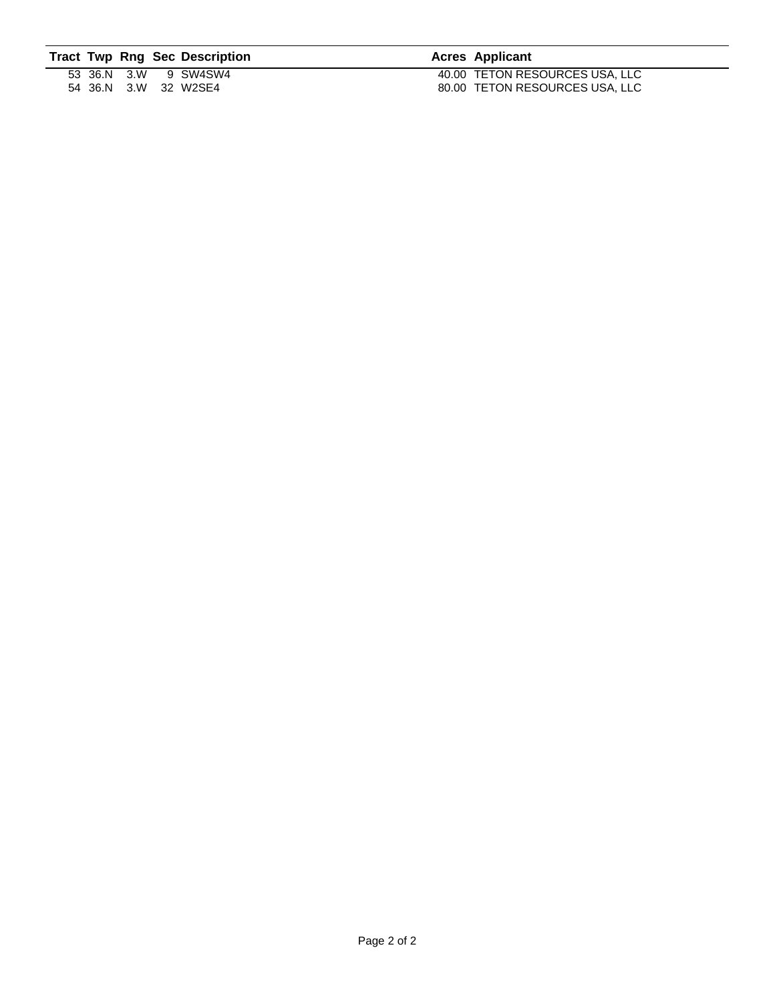|  |  | <b>Tract Twp Rng Sec Description</b> | <b>Acres Applicant</b>         |
|--|--|--------------------------------------|--------------------------------|
|  |  | 53 36.N 3.W 9 SW4SW4                 | 40.00 TETON RESOURCES USA, LLC |
|  |  | 54 36.N 3.W 32 W2SE4                 | 80.00 TETON RESOURCES USA, LLC |